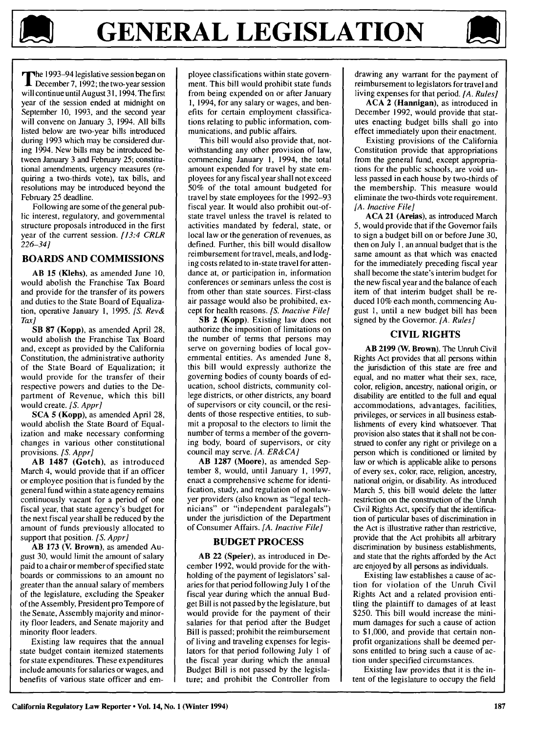

**T** he 1993-94 legislative session began on<br>December 7, 1992; the two-year session will continue until August **31,** 1994. The first year of the session ended at midnight on September 10, 1993, and the second year will convene on January 3, 1994. All bills listed below are two-year bills introduced during 1993 which may be considered during 1994. New bills may be introduced between January 3 and February 25; constitutional amendments, urgency measures (requiring a two-thirds vote), tax bills, and resolutions may be introduced beyond the February 25 deadline.

Following are some of the general public interest, regulatory, and governmental structure proposals introduced in the first year of the current session. *[13:4 CRLR* 226-34]

## **BOARDS AND COMMISSIONS**

AB **15** (Klehs), as amended June 10, would abolish the Franchise Tax Board and provide for the transfer of its powers and duties to the State Board of Equalization, operative January 1, 1995. *[S. Rev& Tax]*

SB **87** (Kopp), as amended April 28, would abolish the Franchise Tax Board and, except as provided by the California Constitution, the administrative authority of the State Board of Equalization; it would provide for the transfer of their respective powers and duties to the Department of Revenue, which this bill would create. *[S. Appr]*

**SCA** 5 (Kopp), as amended April 28, would abolish the State Board of Equalization and make necessary conforming changes in various other constitutional provisions. *[S. Appr]*

AB **1487** (Gotch), as introduced March 4, would provide that if an officer or employee position that is funded by the general fund within a state agency remains continuously vacant for a period of one fiscal year, that state agency's budget for the next fiscal year shall be reduced by the amount of funds previously allocated to support that position. *[S. Appr]*

AB 173 (V. Brown), as amended August 30, would limit the amount of salary paid to a chair or member of specified state boards or commissions to an amount no greater than the annual salary of members of the legislature, excluding the Speaker of the Assembly, President pro Tempore of the Senate, Assembly majority and minority floor leaders, and Senate majority and minority floor leaders.

Existing law requires that the annual state budget contain itemized statements for state expenditures. These expenditures include amounts for salaries or wages, and benefits of various state officer and employee classifications within state government. This bill would prohibit state funds from being expended on or after January 1, 1994, for any salary or wages, and benefits for certain employment classifications relating to public information, communications, and public affairs.

This bill would also provide that, notwithstanding any other provision of law, commencing January 1, 1994, the total amount expended for travel by state employees for any fiscal year shall not exceed 50% of the total amount budgeted for travel by state employees for the 1992-93 fiscal year. It would also prohibit out-ofstate travel unless the travel is related to activities mandated by federal, state, or local law or the generation of revenues, as defined. Further, this bill would disallow reimbursement for travel, meals, and lodging costs related to in-state travel for attendance at, or participation in, information conferences or seminars unless the cost is from other than state sources. First-class air passage would also be prohibited, except for health reasons. *[S. Inactive File]*

SB 2 (Kopp). Existing law does not authorize the imposition of limitations on the number of terms that persons may serve on governing bodies of local governmental entities. As amended June 8, this bill would expressly authorize the governing bodies of county boards of education, school districts, community college districts, or other districts, any board of supervisors or city council, or the residents of those respective entities, to submit a proposal to the electors to limit the number of terms a member of the governing body, board of supervisors, or city council may serve. *[A. ER&CA]*

AB **1287** (Moore), as amended September 8, would, until January 1, 1997, enact a comprehensive scheme for identification, study, and regulation of nonlawyer providers (also known as "legal technicians" or "independent paralegals") under the jurisdiction of the Department of Consumer Affairs. *[A. Inactive File]*

#### BUDGET PROCESS

AB 22 (Speier), as introduced in December 1992, would provide for the withholding of the payment of legislators' salaries for that period following July 1 of the fiscal year during which the annual Budget Bill is not passed by the legislature, but would provide for the payment of their salaries for that period after the Budget Bill is passed; prohibit the reimbursement of living and traveling expenses for legislators for that period following July 1 of the fiscal year during which the annual Budget Bill is not passed by the legislature; and prohibit the Controller from

drawing any warrant for the payment of reimbursement to legislators for travel and living expenses for that period. *[A. Rules]*

**ACA** 2 (Hannigan), as introduced in December 1992, would provide that statutes enacting budget bills shall go into effect immediately upon their enactment.

Existing provisions of the California Constitution provide that appropriations from the general fund, except appropriations for the public schools, are void unless passed in each house by two-thirds of the membership. This measure would eliminate the two-thirds vote requirement. [A. Inactive *File]*

**ACA 21** (Areias), as introduced March 5, would provide that if the Governor fails to sign a budget bill on or before June 30, then on July **1,** an annual budget that is the same amount as that which was enacted for the immediately preceding fiscal year shall become the state's interim budget for the new fiscal year and the balance of each item of that interim budget shall be reduced 10% each month, commencing August **1,** until a new budget bill has been signed by the Governor. *[A. Rules]*

## CIVIL RIGHTS

AB **2199** (W. Brown). The Unruh Civil Rights Act provides that all persons within the jurisdiction of this state are free and equal, and no matter what their sex, race, color, religion, ancestry, national origin, or disability are entitled to the full and equal accommodations, advantages, facilities, privileges, or services in all business establishments of every kind whatsoever. That provision also states that it shall not be construed to confer any right or privilege on a person which is conditioned or limited by law or which is applicable alike to persons of every sex, color, race, religion, ancestry, national origin, or disability. As introduced March 5, this bill would delete the latter restriction on the construction of the Unruh Civil Rights Act, specify that the identification of particular bases of discrimination in the Act is illustrative rather than restrictive, provide that the Act prohibits all arbitrary discrimination by business establishments, and state that the rights afforded by the Act are enjoyed by all persons as individuals.

Existing law establishes a cause of action for violation of the Unruh Civil Rights Act and a related provision entitling the plaintiff to damages of at least \$250. This bill would increase the minimum damages for such a cause of action to \$1,000, and provide that certain nonprofit organizations shall be deemed persons entitled to bring such a cause of action under specified circumstances.

Existing law provides that it is the intent of the legislature to occupy the field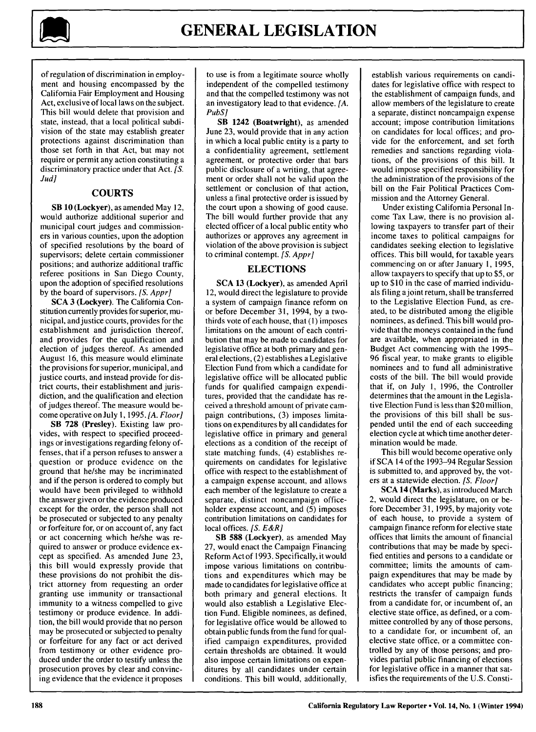

of regulation of discrimination in employment and housing encompassed by the California Fair Employment and Housing Act, exclusive of local laws on the subject. This bill would delete that provision and state, instead, that a local political subdivision of the state may establish greater protections against discrimination than those set forth in that Act, but may not require or permit any action constituting a discriminatory practice under that Act. *[S. Jud]*

#### COURTS

SB 10 (Lockyer), as amended May 12, would authorize additional superior and municipal court judges and commissioners in various counties, upon the adoption of specified resolutions by the board of supervisors; delete certain commissioner positions; and authorize additional traffic referee positions in San Diego County, upon the adoption of specified resolutions by the board of supervisors. *[S. Appr]*

**SCA** 3 (Lockyer). The California Constitution currently provides for superior, municipal, and justice courts, provides for the establishment and jurisdiction thereof, and provides for the qualification and election of judges thereof. As amended August **16,** this measure would eliminate the provisions for superior, municipal, and justice courts, and instead provide for district courts, their establishment and jurisdiction, and the qualification and election of judges thereof. The measure would become operative on July **1, 1995.** *[A. Floor]*

**SB 728** (Presley). Existing law provides, with respect to specified proceedings or investigations regarding felony offenses, that if a person refuses to answer a question or produce evidence on the ground that he/she may be incriminated and if the person is ordered to comply but would have been privileged to withhold the answer given or the evidence produced except for the order, the person shall not be prosecuted or subjected to any penalty or forfeiture for, or on account of, any fact or act concerning which he/she was required to answer or produce evidence except as specified. As amended June 23, this bill would expressly provide that these provisions do not prohibit the district attorney from requesting an order granting use immunity or transactional immunity to a witness compelled to give testimony or produce evidence. In addition, the bill would provide that no person may be prosecuted or subjected to penalty or forfeiture for any fact or act derived from testimony or other evidence produced under the order to testify unless the prosecution proves by clear and convincing evidence that the evidence it proposes

to use is from a legitimate source wholly independent of the compelled testimony and that the compelled testimony was not an investigatory lead to that evidence. *[A.* PubS]

SB 1242 (Boatwright), as amended June 23, would provide that in any action in which a local public entity is a party to a confidentiality agreement, settlement agreement, or protective order that bars public disclosure of a writing, that agreement or order shall not be valid upon the settlement or conclusion of that action, unless a final protective order is issued by the court upon a showing of good cause. The bill would further provide that any elected officer of a local public entity who authorizes or approves any agreement in violation of the above provision is subject to criminal contempt. *[S. Appr]*

## **ELECTIONS**

**SCA 13** (Lockyer), as amended April 12, would direct the legislature to provide a system of campaign finance reform on or before December 31, 1994, by a twothirds vote of each house, that **(I)** imposes limitations on the amount of each contribution that may be made to candidates for legislative office at both primary and general elections, (2) establishes a Legislative Election Fund from which a candidate for legislative office will be allocated public funds for qualified campaign expenditures, provided that the candidate has received a threshold amount of private campaign contributions, (3) imposes limitations on expenditures by all candidates for legislative office in primary and general elections as a condition of the receipt of state matching funds, (4) establishes requirements on candidates for legislative office with respect to the establishment of a campaign expense account, and allows each member of the legislature to create a separate, distinct noncampaign officeholder expense account, and (5) imposes contribution limitations on candidates for local offices. *[S. E&R]*

SB **588** (Lockyer), as amended May 27, would enact the Campaign Financing Reform Act of 1993. Specifically, it would impose various limitations on contributions and expenditures which may be made to candidates for legislative office at both primary and general elections. It would also establish a Legislative Election Fund. Eligible nominees, as defined, for legislative office would be allowed to obtain public funds from the fund for qualified campaign expenditures, provided certain thresholds are obtained. It would also impose certain limitations on expenditures by all candidates under certain conditions. This bill would, additionally,

establish various requirements on candidates for legislative office with respect to the establishment of campaign funds, and allow members of the legislature to create a separate, distinct noncampaign expense account; impose contribution limitations on candidates for local offices; and provide for the enforcement, and set forth remedies and sanctions regarding violations, of the provisions of this bill. It would impose specified responsibility for the administration of the provisions of the bill on the Fair Political Practices Commission and the Attorney General.

Under existing California Personal Income Tax Law, there is no provision allowing taxpayers to transfer part of their income taxes to political campaigns for candidates seeking election to legislative offices. This bill would, for taxable years commencing on or after January 1, 1995, allow taxpayers to specify that up to \$5, or up to \$10 in the case of married individuals filing ajoint return, shall be transferred to the Legislative Election Fund, as created, to be distributed among the eligible nominees, as defined. This bill would provide that the moneys contained in the fund are available, when appropriated in the Budget Act commencing with the 1995- 96 fiscal year, to make grants to eligible nominees and to fund all administrative costs of the bill. The bill would provide that if, on July 1, 1996, the Controller determines that the amount in the Legislative Election Fund is less than \$20 million, the provisions of this bill shall be suspended until the end of each succeeding election cycle at which time another determination would be made.

This bill would become operative only if SCA 14 of the 1993-94 Regular Session is submitted to, and approved by, the voters at a statewide election. *[S. Floor]*

SCA 14 (Marks), as introduced March 2, would direct the legislature, on or before December 31, 1995, by majority vote of each house, to provide a system of campaign finance reform for elective state offices that limits the amount of financial contributions that may be made by specified entities and persons to a candidate or committee; limits the amounts of campaign expenditures that may be made by candidates who accept public financing; restricts the transfer of campaign funds from a candidate for, or incumbent of, an elective state office, as defined, or a committee controlled by any of those persons, to a candidate for, or incumbent of, an elective state office, or a committee controlled by any of those persons; and provides partial public financing of elections for legislative office in a manner that satisfies the requirements of the U.S. Consti-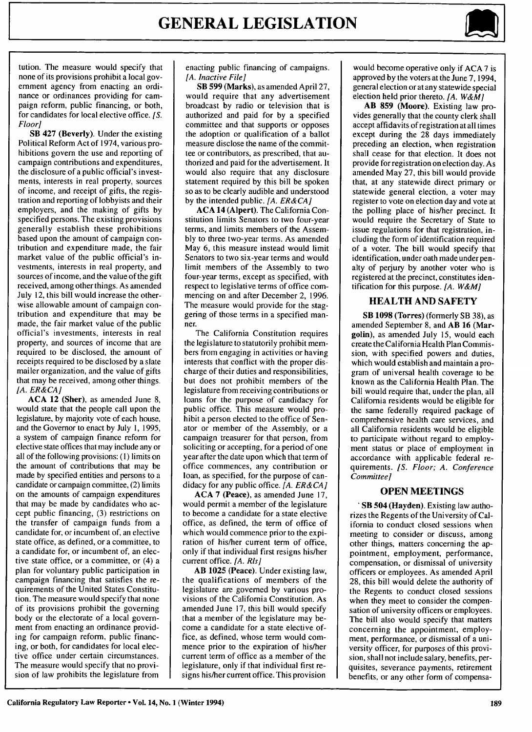

tution. The measure would specify that none of its provisions prohibit a local government agency from enacting an ordinance or ordinances providing for campaign reform, public financing, or both, for candidates for local elective office. *[S. Floor]*

SB 427 (Beverly). Under the existing Political Reform Act of 1974, various prohibitions govern the use and reporting of campaign contributions and expenditures, the disclosure of a public official's investments, interests in real property, sources of income, and receipt of gifts, the registration and reporting of lobbyists and their employers, and the making of gifts by specified persons. The existing provisions generally establish these prohibitions based upon the amount of campaign contribution and expenditure made, the fair market value of the public official's investments, interests in real property, and sources of income, and the value of the gift received, among other things. As amended July 12, this bill would increase the otherwise allowable amount of campaign contribution and expenditure that may be made, the fair market value of the public official's investments, interests in real property, and sources of income that are required to be disclosed, the amount of receipts required to be disclosed by a slate mailer organization, and the value of gifts that may be received, among other things. *[A. ER&CA]*

**ACA** 12 (Sher), as amended June 8, would state that the people call upon the legislature, by majority vote of each house, and the Governor to enact by July I, 1995, a system of campaign finance reform for elective state offices that may include any or all of the following provisions: **(1)** limits on the amount of contributions that may be made by specified entities and persons to a candidate or campaign committee, (2) limits on the amounts of campaign expenditures that may be made by candidates who accept public financing, (3) restrictions on the transfer of campaign funds from a candidate for, or incumbent of, an elective state office, as defined, or a committee, to a candidate for, or incumbent of, an elective state office, or a committee, or (4) a plan for voluntary public participation in campaign financing that satisfies the requirements of the United States Constitution. The measure would specify that none of its provisions prohibit the governing body or the electorate of a local government from enacting an ordinance providing for campaign reform, public financing, or both, for candidates for local elective office under certain circumstances. The measure would specify that no provision of law prohibits the legislature from

enacting public financing of campaigns. *[A. Inactive File]*

SB **599** (Marks), as amended April 27, would require that any advertisement broadcast by radio or television that is authorized and paid for by a specified committee and that supports or opposes the adoption or qualification of a ballot measure disclose the name of the committee or contributors, as prescribed, that authorized and paid for the advertisement. It would also require that any disclosure statement required by this bill be spoken so as to be clearly audible and understood by the intended public. *[A. ER&CA]*

**ACA** 14 (Alpert). The California Constitution limits Senators to two four-year terms, and limits members of the Assembly to three two-year terms. As amended May 6, this measure instead would limit Senators to two six-year terms and would limit members of the Assembly to two four-year terms, except as specified, with respect to legislative terms of office commencing on and after December 2, 1996. The measure would provide for the staggering of those terms in a specified manner.

The California Constitution requires the legislature to statutorily prohibit members from engaging in activities or having interests that conflict with the proper discharge of their duties and responsibilities, but does not prohibit members of the legislature from receiving contributions or loans for the purpose of candidacy for public office. This measure would prohibit a person elected to the office of Senator or member of the Assembly, or a campaign treasurer for that person, from soliciting or accepting, for a period of one year after the date upon which that term of office commences, any contribution or loan, as specified, for the purpose of candidacy for any public office. *[A. ER& CA]*

**ACA 7** (Peace), as amended June 17, would permit a member of the legislature to become a candidate for a state elective office, as defined, the term of office of which would commence prior to the expiration of his/her current term of office, only if that individual first resigns his/her current office. *[A. Rls]*

AB **1025** (Peace). Under existing law, the qualifications of members of the legislature are governed by various provisions of the California Constitution. As amended June 17, this bill would specify that a member of the legislature may become a candidate for a state elective office, as defined, whose term would commence prior to the expiration of his/her current term of office as a member of the legislature, only if that individual first resigns his/her current office. This provision

would become operative only if ACA 7 is approved by the voters at the June 7, 1994, general election or at any statewide special election held prior thereto. *[A. W&M]*

**AB 859** (Moore). Existing law provides generally that the county clerk shall accept affidavits of registration at all times except during the 28 days immediately preceding an election, when registration shall cease for that election. It does not provide for registration on election day. As amended May 27, this bill would provide that, at any statewide direct primary or statewide general election, a voter may register to vote on election day and vote at the polling place of his/her precinct. It would require the Secretary of State to issue regulations for that registration, including the form of identification required of a voter. The bill would specify that identification, under oath made under penalty of perjury by another voter who is registered at the precinct, constitutes identification for this purpose. *[A. W&M]*

#### HEALTH **AND** SAFETY

**SB 1098 (Torres)** (formerly SB 38), as amended September **8,** and **AB 16 (Mar**golin), as amended July **15,** would each create the California Health Plan Commission, with specified powers and duties, which would establish and maintain a program of universal health coverage to be known as the California Health Plan. The bill would require that, under the plan, all California residents would be eligible for the same federally required package of comprehensive health care services, and all California residents would be eligible to participate without regard to employment status or place of employment in accordance with applicable federal requirements. *[S. Floor; A. Conference Committee]*

#### **OPEN MEETINGS**

**'SB 504 (Hayden).** Existing law authorizes the Regents of the University of California to conduct closed sessions when meeting to consider or discuss, among other things, matters concerning the appointment, employment, performance, compensation, or dismissal of university officers or employees. As amended April **28,** this bill would delete the authority of the Regents to conduct closed sessions when they meet to consider the compensation of university officers or employees. The bill also would specify that matters concerning the appointment, employment, performance, or dismissal of a university officer, for purposes of this provision, shall not include salary, benefits, perquisites, severance payments, retirement benefits, or any other form of compensa-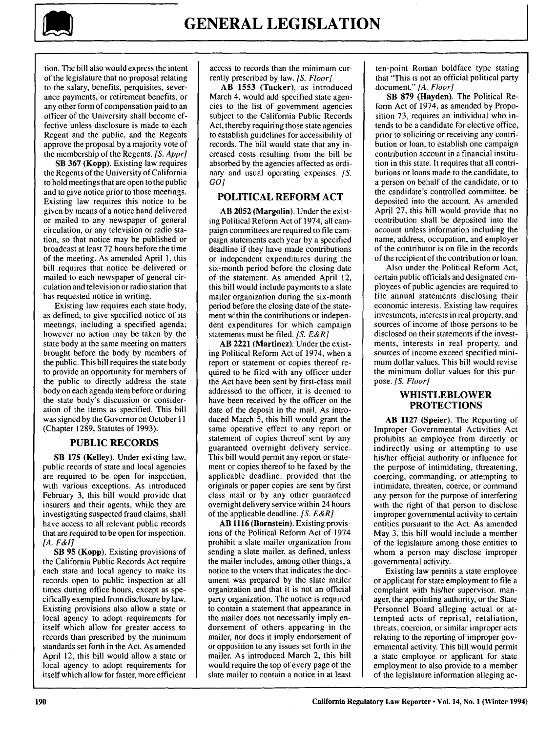

tion. The bill also would express the intent of the legislature that no proposal relating to the salary, benefits, perquisites, severance payments, or retirement benefits, or any other form of compensation paid to an officer of the University shall become **ef**fective unless disclosure is made to each Regent and the public, and the Regents approve the proposal by a majority vote of the membership of the Regents. *[S. Appr]*

SB 367 (Kopp). Existing law requires the Regents of the University of California to hold meetings that are open to the public and to give notice prior to those meetings. Existing law requires this notice to be given by means of a notice hand delivered or mailed to any newspaper of general circulation, or any television or radio station, so that notice may be published or broadcast at least 72 hours before the time of the meeting. As amended April **1,** this bill requires that notice be delivered or mailed to each newspaper of general circulation and television or radio station that has requested notice in writing.

Existing law requires each state body, as defined, to give specified notice of its meetings, including a specified agenda; however no action may be taken by the state body at the same meeting on matters brought before the body by members of the public. This bill requires the state body to provide an opportunity for members of the public to directly address the state body on each agenda item before or during the state body's discussion or consideration of the items as specified. This bill was signed by the Governor on October I **I** (Chapter 1289, Statutes of 1993).

#### **PUBLIC** RECORDS

SB **175** (Kelley). Under existing law, public records of state and local agencies are required to be open for inspection, with various exceptions. As introduced February 3, this bill would provide that insurers and their agents, while they are investigating suspected fraud claims, shall have access to all relevant public records that are required to be open for inspection. *[A. F&IJ*

SB **95** (Kopp). Existing provisions of the California Public Records Act require each state and local agency to make its records open to public inspection at all times during office hours, except as specifically exempted from disclosure by law. Existing provisions also allow a state or local agency to adopt requirements for itself which allow for greater access to records than prescribed by the minimum standards set forth in the Act. As amended April 12, this bill would allow a state or local agency to adopt requirements for itself which allow for faster, more efficient access to records than the minimum currently prescribed by law. *[S. Floor]*

AB **1553** (Tucker), as introduced March 4, would add specified state agencies to the list of government agencies subject to the California Public Records Act, thereby requiring those state agencies to establish guidelines for accessibility of records. The bill would state that any increased costs resulting from the bill be absorbed by the agencies affected as ordinary and usual operating expenses. [S. *GO]*

## POLITICAL REFORM **ACT**

AB **2052** (Margolin). Under the existing Political Reform Act of 1974, all campaign committees are required to file campaign statements each year by a specified deadline if they have made contributions or independent expenditures during the six-month period before the closing date of the statement. As amended April 12, this bill would include payments to a slate mailer organization during the six-month period before the closing date of the statement within the contributions or independent expenditures for which campaign statements must be filed. *[S. E&R]*

AB 2221 (Martinez). Under the existing Political Reform Act of 1974, when a report or statement or copies thereof required to be filed with any officer under the Act have been sent by first-class mail addressed to the officer, it is deemed to have been received by the officer on the date of the deposit in the mail. As introduced March 5, this bill would grant the same operative effect to any report or statement of copies thereof sent by any guaranteed overnight delivery service. This bill would permit any report or statement or copies thereof to be faxed by the applicable deadline, provided that the originals or paper copies are sent by first class mail or by any other guaranteed overnight delivery service within 24 hours of the applicable deadline. *[S. E&R]*

AB **1116** (Bornstein). Existing provisions of the Political Reform Act of 1974 prohibit a slate mailer organization from sending a slate mailer, as defined, unless the mailer includes, among other things, a notice to the voters that indicates the document was prepared by the slate mailer organization and that it is not an official party organization. The notice is required to contain a statement that appearance in the mailer does not necessarily imply endorsement of others appearing in the mailer, nor does it imply endorsement of or opposition to any issues set forth in the mailer. As introduced March 2, this bill would require the top of every page of the slate mailer to contain a notice in at least ten-point Roman boldface type stating that "This is not an official political party document." *[A. Floor]*

SB **879** (Hayden). The Political Reform Act of 1974, as amended by Proposition 73, requires an individual who intends to be a candidate for elective office, prior to soliciting or receiving any contribution or loan, to establish one campaign contribution account in a financial institution in this state. It requires that all contributions or loans made to the candidate, to a person on behalf of the candidate, or to the candidate's controlled committee, be deposited into the account. As amended April 27, this bill would provide that no contribution shall be deposited into the account unless information including the name, address, occupation, and employer of the contributor is on file in the records of the recipient of the contribution or loan.

Also under the Political Reform Act, certain public officials and designated employees of public agencies are required to file annual statements disclosing their economic interests. Existing law requires investments, interests in real property, and sources of income of those persons to be disclosed on their statements if the investments, interests in real property, and sources of income exceed specified minimum dollar values. This bill would revise the minimum dollar values for this purpose. *[S. Floor]*

## **WHISTLEBLOWER PROTECTIONS**

AB **1127** (Speier). The Reporting of Improper Governmental Activities Act prohibits an employee from directly or indirectly using or attempting to use his/her official authority or influence for the purpose of intimidating, threatening, coercing, commanding, or attempting to intimidate, threaten, coerce, or command any person for the purpose of interfering with the right of that person to disclose improper governmental activity to certain entities pursuant to the Act. As amended May 3, this bill would include a member of the legislature among those entities to whom a person may disclose improper governmental activity.

Existing law permits a state employee or applicant for state employment to file a complaint with his/her supervisor, manager, the appointing authority, or the State Personnel Board alleging actual or attempted acts of reprisal, retaliation, threats, coercion, or similar improper acts relating to the reporting of improper governmental activity. This bill would permit a state employee or applicant for state employment to also provide to a member of the legislature information alleging ac-